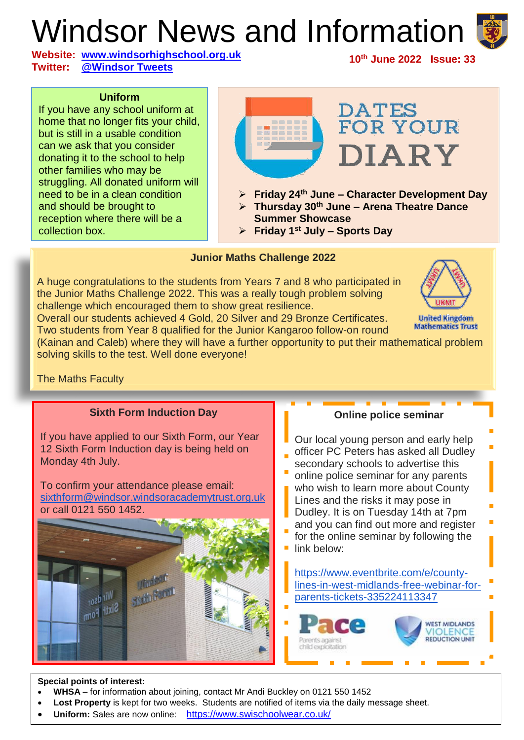# Windsor News and Information

**Website: [www.windsorhighschool.org.uk](http://www.windsorhighschool.org.uk/) Twitter: [@Windsor Tweets](https://twitter.com/Windsor_Tweets)**

#### **10th June 2022 Issue: 33**

#### **Uniform**

If you have any school uniform at home that no longer fits your child, but is still in a usable condition can we ask that you consider donating it to the school to help other families who may be struggling. All donated uniform will need to be in a clean condition and should be brought to reception where there will be a collection box.



#### **Junior Maths Challenge 2022**

A huge congratulations to the students from Years 7 and 8 who participated in the Junior Maths Challenge 2022. This was a really tough problem solving challenge which encouraged them to show great resilience.



**United Kingdom Mathematics Trust** 

Overall our students achieved 4 Gold, 20 Silver and 29 Bronze Certificates. Two students from Year 8 qualified for the Junior Kangaroo follow-on round (Kainan and Caleb) where they will have a further opportunity to put their mathematical problem

solving skills to the test. Well done everyone!

#### The Maths Faculty



#### **Special points of interest:**

ł

- **WHSA** for information about joining, contact Mr Andi Buckley on 0121 550 1452
- **Lost Property** is kept for two weeks. Students are notified of items via the daily message sheet.
- **Uniform:** Sales are now online: <https://www.swischoolwear.co.uk/>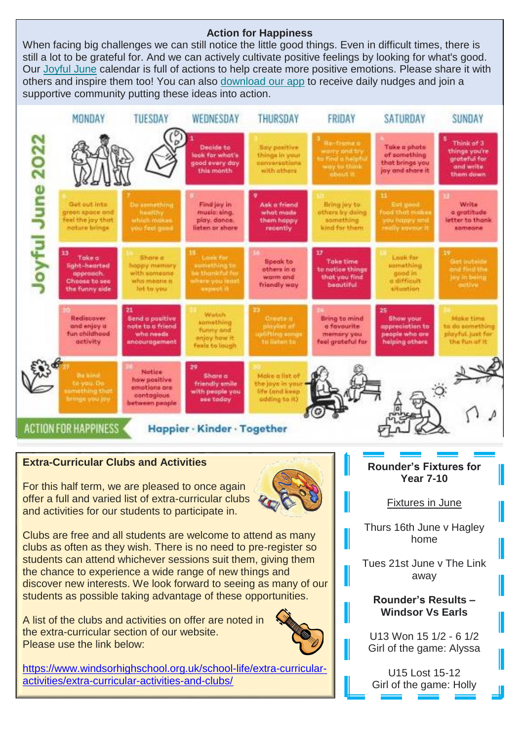### **Action for Happiness**

When facing big challenges we can still notice the little good things. Even in difficult times, there is still a lot to be grateful for. And we can actively cultivate positive feelings by looking for what's good. Our [Joyful June](https://actionforhappiness.us3.list-manage.com/track/click?u=38ea3e7c0a12909b5f17eb1ed&id=c7caf11190&e=508a5ec903) calendar is full of actions to help create more positive emotions. Please share it with others and inspire them too! You can also [download our app](https://actionforhappiness.us3.list-manage.com/track/click?u=38ea3e7c0a12909b5f17eb1ed&id=0b4127095b&e=508a5ec903) to receive daily nudges and join a supportive community putting these ideas into action.



## **Extra-Curricular Clubs and Activities**

For this half term, we are pleased to once again offer a full and varied list of extra-curricular clubs and activities for our students to participate in.



Clubs are free and all students are welcome to attend as many clubs as often as they wish. There is no need to pre-register so students can attend whichever sessions suit them, giving them the chance to experience a wide range of new things and discover new interests. We look forward to seeing as many of our students as possible taking advantage of these opportunities.

A list of the clubs and activities on offer are noted in the extra-curricular section of our website. Please use the link below:



[https://www.windsorhighschool.org.uk/school-life/extra-curricular](https://www.windsorhighschool.org.uk/school-life/extra-curricular-activities/extra-curricular-activities-and-clubs/)[activities/extra-curricular-activities-and-clubs/](https://www.windsorhighschool.org.uk/school-life/extra-curricular-activities/extra-curricular-activities-and-clubs/)

**Rounder's Fixtures for Year 7-10**

Fixtures in June

Thurs 16th June v Hagley home

Tues 21st June v The Link away

#### **Rounder's Results – Windsor Vs Earls**

U13 Won 15 1/2 - 6 1/2 Girl of the game: Alyssa

U15 Lost 15-12 Girl of the game: Holly